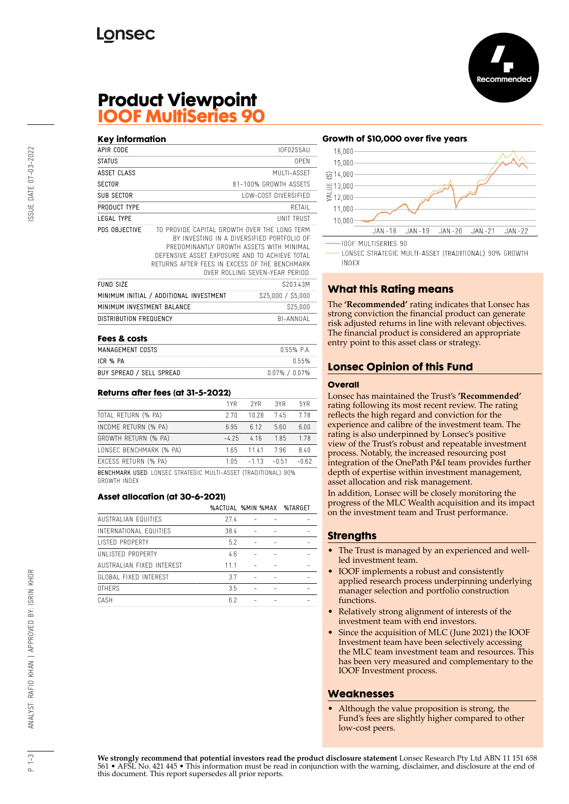

# **Product Viewpoint IOOF MultiSeries 90**

## **Key information** APIR CODE IOF0255AU STATUS OPEN ASSET CLASS MULTI-ASSET SECTOR 81-100% GROWTH ASSETS SUB SECTOR LOW-COST DIVERSIFIED PRODUCT TYPE RETAIL LEGAL TYPE UNIT TRUST PDS OBJECTIVE TO PROVIDE CAPITAL GROWTH OVER THE LONG TERM BY INVESTING IN A DIVERSIFIED PORTFOLIO OF PREDOMINANTLY GROWTH ASSETS WITH MINIMAL DEFENSIVE ASSET EXPOSURE AND TO ACHIEVE TOTAL RETURNS AFTER FEES IN EXCESS OF THE BENCHMARK OVER ROLLING SEVEN-YEAR PERIOD. FUND SIZE S203.43M MINIMUM INITIAL / ADDITIONAL INVESTMENT \$25,000 / \$5,000 MINIMUM INVESTMENT BALANCE \$25,000 DISTRIBUTION FREQUENCY BI-ANNUAL **Fees & costs**

| נוכטא מא נד              |                     |
|--------------------------|---------------------|
| MANAGEMENT COSTS         | 055% PA             |
| ICR % PA                 | በ 55%               |
| BUY SPREAD / SELL SPREAD | $0.07\%$ / $0.07\%$ |

## **Returns after fees (at 31-5-2022)**

|                                                                       | 1YR    | 2YR     | 3YR     | 5YR     |
|-----------------------------------------------------------------------|--------|---------|---------|---------|
| TOTAL RETURN (% PA)                                                   | 2.70   | 10.28   | 7.45    | 7.78    |
| INCOME RETURN (% PA)                                                  | 6.95   | 6.12    | 5.60    | 6.00    |
| GROWTH RETURN (% PA)                                                  | $-425$ | 416     | 1.85    | 1.78    |
| LONSEC BENCHMARK (% PA)                                               | 1.65   | 1141    | 7.96    | 8.40    |
| EXCESS RETURN (% PA)                                                  | 1 N.S. | $-1.13$ | $-0.51$ | $-0.62$ |
| <b>BENCHMARK USED: LONSEC STRATEGIC MULTI-ASSET (TRADITIONAL) 90%</b> |        |         |         |         |

GROWTH INDEX

#### **Asset allocation (at 30-6-2021)**

|                           | %ACTUAL %MIN %MAX |  | %TARGET |
|---------------------------|-------------------|--|---------|
| AUSTRALIAN EQUITIES       | 27.4              |  |         |
| INTERNATIONAL EQUITIES    | 38.4              |  |         |
| <b>LISTED PROPERTY</b>    | 5.2               |  |         |
| UNLISTED PROPERTY         | 4.6               |  |         |
| AUSTRALIAN FIXED INTEREST | 111               |  |         |
| GLOBAL FIXED INTEREST     | 37                |  |         |
| <b>OTHERS</b>             | 3.5               |  |         |
| CASH                      | 62                |  |         |
|                           |                   |  |         |

# **Growth of \$10,000 over five years**



LONSEC STRATEGIC MULTI-ASSET (TRADITIONAL) 90% GROWTH **INDEX** 

# **What this Rating means**

The **'Recommended'** rating indicates that Lonsec has strong conviction the financial product can generate risk adjusted returns in line with relevant objectives. The financial product is considered an appropriate entry point to this asset class or strategy.

# **Lonsec Opinion of this Fund**

#### **Overall**

Lonsec has maintained the Trust's **'Recommended'** rating following its most recent review. The rating reflects the high regard and conviction for the experience and calibre of the investment team. The rating is also underpinned by Lonsec's positive view of the Trust's robust and repeatable investment process. Notably, the increased resourcing post integration of the OnePath P&I team provides further depth of expertise within investment management, asset allocation and risk management.

In addition, Lonsec will be closely monitoring the progress of the MLC Wealth acquisition and its impact on the investment team and Trust performance.

## **Strengths**

- The Trust is managed by an experienced and wellled investment team.
- IOOF implements a robust and consistently applied research process underpinning underlying manager selection and portfolio construction functions.
- Relatively strong alignment of interests of the investment team with end investors.
- Since the acquisition of MLC (June 2021) the IOOF Investment team have been selectively accessing the MLC team investment team and resources. This has been very measured and complementary to the IOOF Investment process.

## **Weaknesses**

• Although the value proposition is strong, the Fund's fees are slightly higher compared to other low-cost peers.

SSUE DATE 07-03-2022

 $1 - 3$ 

**We strongly recommend that potential investors read the product disclosure statement** Lonsec Research Pty Ltd ABN 11 151 658 561 • AFSL No. 421 445 • This information must be read in conjunction with the warning, disclaimer, and disclosure at the end of this document. This report supersedes all prior reports.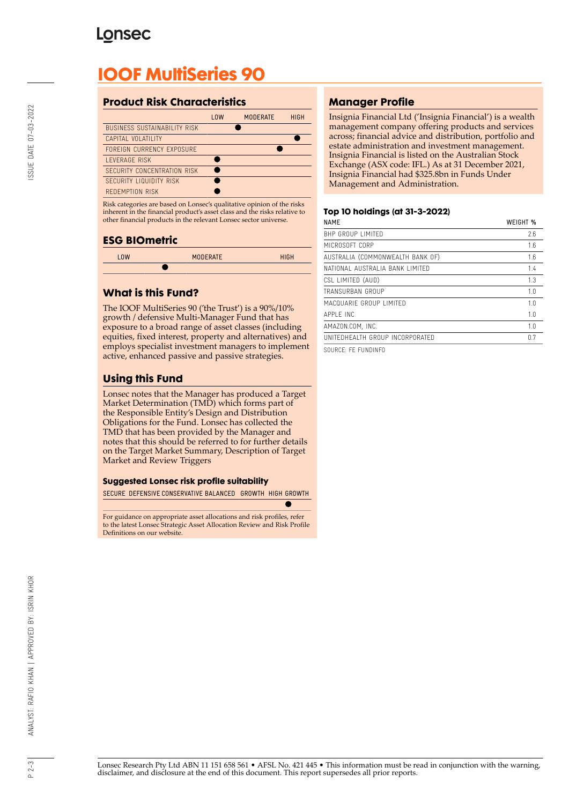# **Lonsec**

# **IOOF MultiSeries 90**

# **Product Risk Characteristics**

|                                     | <b>LOW</b> | <b>MODERATE</b> | <b>HIGH</b> |
|-------------------------------------|------------|-----------------|-------------|
| <b>BUSINESS SUSTAINABILITY RISK</b> |            |                 |             |
| CAPITAL VOLATILITY                  |            |                 |             |
| FORFIGN CURRENCY EXPOSURE           |            |                 |             |
| <b>I FVFRAGF RISK</b>               |            |                 |             |
| SECURITY CONCENTRATION RISK         |            |                 |             |
| SECURITY LIQUIDITY RISK             |            |                 |             |
| <b>REDEMPTION RISK</b>              |            |                 |             |

Risk categories are based on Lonsec's qualitative opinion of the risks inherent in the financial product's asset class and the risks relative to other financial products in the relevant Lonsec sector universe.

# **ESG BIOmetric**



# **What is this Fund?**

The IOOF MultiSeries 90 ('the Trust') is a 90%/10% growth / defensive Multi-Manager Fund that has exposure to a broad range of asset classes (including equities, fixed interest, property and alternatives) and employs specialist investment managers to implement active, enhanced passive and passive strategies.

# **Using this Fund**

Lonsec notes that the Manager has produced a Target Market Determination (TMD) which forms part of the Responsible Entity's Design and Distribution Obligations for the Fund. Lonsec has collected the TMD that has been provided by the Manager and notes that this should be referred to for further details on the Target Market Summary, Description of Target Market and Review Triggers

## **Suggested Lonsec risk profile suitability**

SECURE DEFENSIVE CONSERVATIVE BALANCED GROWTH HIGH GROWTH

For guidance on appropriate asset allocations and risk profiles, refer to the latest Lonsec Strategic Asset Allocation Review and Risk Profile Definitions on our website.

# **Manager Profile**

Insignia Financial Ltd ('Insignia Financial') is a wealth management company offering products and services across; financial advice and distribution, portfolio and estate administration and investment management. Insignia Financial is listed on the Australian Stock Exchange (ASX code: IFL.) As at 31 December 2021, Insignia Financial had \$325.8bn in Funds Under Management and Administration.

## **Top 10 holdings (at 31-3-2022)**

| <b>NAMF</b>                      | WEIGHT % |
|----------------------------------|----------|
| BHP GROUP LIMITED                | 2.6      |
| MICROSOFT CORP                   | 1.6      |
| AUSTRALIA (COMMONWEALTH BANK OF) | 1.6      |
| NATIONAL AUSTRALIA BANK LIMITED  | 1.4      |
| CSL LIMITED (AUD)                | 1.3      |
| TRANSURBAN GROUP                 | 1.0      |
| MACQUARIF GROUP LIMITED          | 1.0      |
| APPI F INC                       | 1.0      |
| AMAZON.COM, INC.                 | 1.0      |
| UNITEDHEALTH GROUP INCORPORATED  | 0.7      |
|                                  |          |

SOURCE: FE FUNDINFO